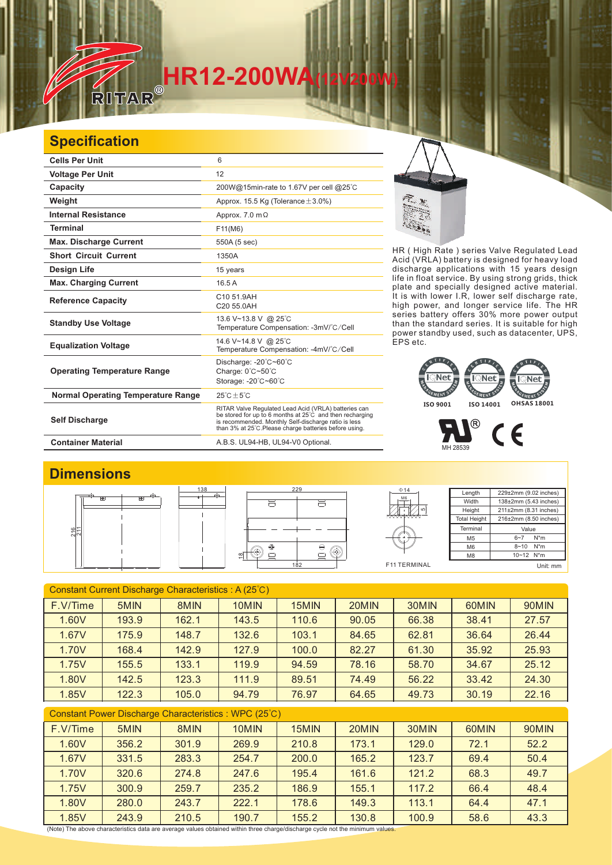# **HR12-200WA**<br>RITAR®

### **Specification**

 $\mathbb{Z}$ 

| <b>Cells Per Unit</b>                     | 6                                                                                                                                                                                                                                  |
|-------------------------------------------|------------------------------------------------------------------------------------------------------------------------------------------------------------------------------------------------------------------------------------|
| <b>Voltage Per Unit</b>                   | 12                                                                                                                                                                                                                                 |
| Capacity                                  | 200W@15min-rate to 1.67V per cell @25°C                                                                                                                                                                                            |
| Weight                                    | Approx. 15.5 Kg (Tolerance $\pm$ 3.0%)                                                                                                                                                                                             |
| <b>Internal Resistance</b>                | Approx. $7.0 \text{ m}\Omega$                                                                                                                                                                                                      |
| <b>Terminal</b>                           | F11(M6)                                                                                                                                                                                                                            |
| <b>Max. Discharge Current</b>             | 550A (5 sec)                                                                                                                                                                                                                       |
| <b>Short Circuit Current</b>              | 1350A                                                                                                                                                                                                                              |
| Design Life                               | 15 years                                                                                                                                                                                                                           |
| <b>Max. Charging Current</b>              | 16.5A                                                                                                                                                                                                                              |
| <b>Reference Capacity</b>                 | C10 51.9AH<br>C20 55.0AH                                                                                                                                                                                                           |
| <b>Standby Use Voltage</b>                | 13.6 V~13.8 V @ 25°C<br>Temperature Compensation: -3mV/°C/Cell                                                                                                                                                                     |
| <b>Equalization Voltage</b>               | 14.6 V~14.8 V @ 25°C<br>Temperature Compensation: -4mV/°C/Cell                                                                                                                                                                     |
| <b>Operating Temperature Range</b>        | Discharge: -20°C~60°C<br>Charge: $0^{\circ}$ C $\sim$ 50 $^{\circ}$ C<br>Storage: -20°C~60°C                                                                                                                                       |
| <b>Normal Operating Temperature Range</b> | $25^{\circ}$ C + 5 $^{\circ}$ C                                                                                                                                                                                                    |
| <b>Self Discharge</b>                     | RITAR Valve Regulated Lead Acid (VRLA) batteries can<br>be stored for up to 6 months at 25°C and then recharging<br>is recommended. Monthly Self-discharge ratio is less<br>than 3% at 25°C. Please charge batteries before using. |
| <b>Container Material</b>                 | A.B.S. UL94-HB, UL94-V0 Optional.                                                                                                                                                                                                  |

HR ( High Rate ) series Valve Regulated Lead Acid (VRLA) battery is designed for heavy load discharge applications with 15 years design life in float service. By using strong grids, and specially designed active material. It is with lower I.R, lower self discharge rate, high power, and longer service life. The HR series battery offers 30% more power output than the standard series. It is suitable for high power standby used, such as datacenter, UPS, EPS etc. thick plate

## EMENT EMENT **ISO 9001 ISO 14001 OHSAS 18001**

P  $C \in$ MH 28539

#### **Dimensions**



| Constant Current Discharge Characteristics: A (25°C) |       |       |       |       |       |       |       |       |
|------------------------------------------------------|-------|-------|-------|-------|-------|-------|-------|-------|
| F.V/Time                                             | 5MIN  | 8MIN  | 10MIN | 15MIN | 20MIN | 30MIN | 60MIN | 90MIN |
| 1.60V                                                | 193.9 | 162.1 | 143.5 | 110.6 | 90.05 | 66.38 | 38.41 | 27.57 |
| 1.67V                                                | 175.9 | 148.7 | 132.6 | 103.1 | 84.65 | 62.81 | 36.64 | 26.44 |
| 1.70V                                                | 168.4 | 142.9 | 127.9 | 100.0 | 82.27 | 61.30 | 35.92 | 25.93 |
| 1.75V                                                | 155.5 | 133.1 | 119.9 | 94.59 | 78.16 | 58.70 | 34.67 | 25.12 |
| 1.80V                                                | 142.5 | 123.3 | 111.9 | 89.51 | 74.49 | 56.22 | 33.42 | 24.30 |
| 1.85V                                                | 122.3 | 105.0 | 94.79 | 76.97 | 64.65 | 49.73 | 30.19 | 22.16 |
| Constant Power Discharge Characteristics: WPC (25°C) |       |       |       |       |       |       |       |       |

| F.V/Time | 5MIN  | 8MIN  | 10MIN | 15MIN | 20MIN | 30MIN | 60MIN | 90MIN |
|----------|-------|-------|-------|-------|-------|-------|-------|-------|
| 1.60V    | 356.2 | 301.9 | 269.9 | 210.8 | 173.1 | 129.0 | 72.1  | 52.2  |
| 1.67V    | 331.5 | 283.3 | 254.7 | 200.0 | 165.2 | 123.7 | 69.4  | 50.4  |
| 1.70V    | 320.6 | 274.8 | 247.6 | 195.4 | 161.6 | 121.2 | 68.3  | 49.7  |
| 1.75V    | 300.9 | 259.7 | 235.2 | 186.9 | 155.1 | 117.2 | 66.4  | 48.4  |
| 1.80V    | 280.0 | 243.7 | 222.1 | 178.6 | 149.3 | 113.1 | 64.4  | 47.1  |
| 1.85V    | 243.9 | 210.5 | 190.7 | 155.2 | 130.8 | 100.9 | 58.6  | 43.3  |

(Note) The above characteristics data are average values obtained within three charge/discharge cycle not the minimum values.